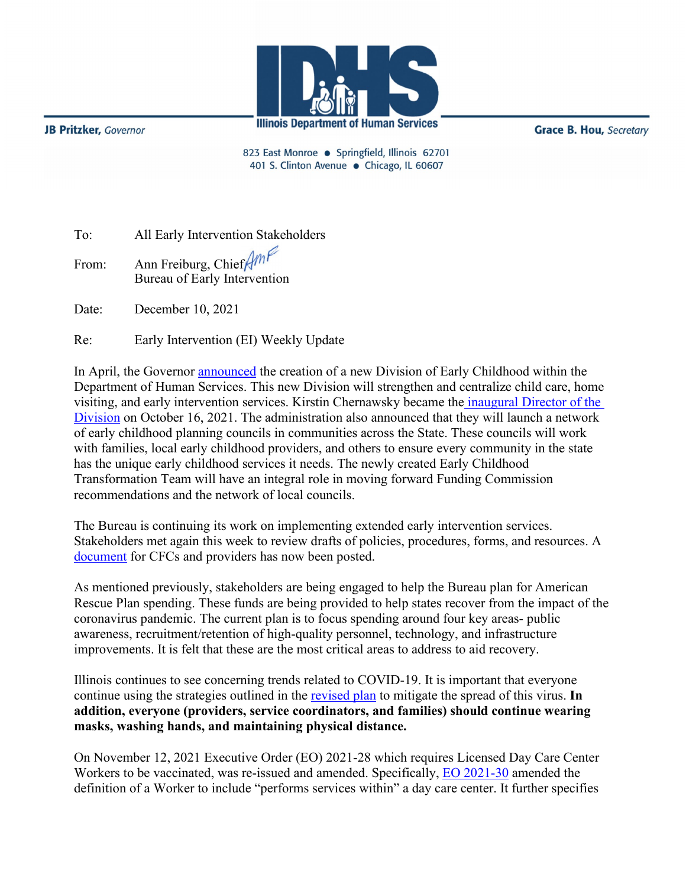

**JB Pritzker**, Governor

**Grace B. Hou, Secretary** 

823 East Monroe · Springfield, Illinois 62701 401 S. Clinton Avenue · Chicago, IL 60607

| To:   | All Early Intervention Stakeholders                            |
|-------|----------------------------------------------------------------|
| From: | Ann Freiburg, Chief $\sqrt{m}$<br>Bureau of Early Intervention |
| Date: | December 10, 2021                                              |

Re: Early Intervention (EI) Weekly Update

In April, the Governor [announced](https://www.illinois.gov/news/press-release.23150.html) the creation of a new Division of Early Childhood within the Department of Human Services. This new Division will strengthen and centralize child care, home visiting, and early intervention services. Kirstin Chernawsky became the [inaugural Director of the](https://www.dhs.state.il.us/page.aspx?item=137073)  [Division](https://www.dhs.state.il.us/page.aspx?item=137073) on October 16, 2021. The administration also announced that they will launch a network of early childhood planning councils in communities across the State. These councils will work with families, local early childhood providers, and others to ensure every community in the state has the unique early childhood services it needs. The newly created Early Childhood Transformation Team will have an integral role in moving forward Funding Commission recommendations and the network of local councils.

The Bureau is continuing its work on implementing extended early intervention services. Stakeholders met again this week to review drafts of policies, procedures, forms, and resources. A [document](http://www.wiu.edu/coehs/provider_connections/pdf/EI-ES%20CFC-Provider%20Notice%20final%20%2020211028.pdf) for CFCs and providers has now been posted.

As mentioned previously, stakeholders are being engaged to help the Bureau plan for American Rescue Plan spending. These funds are being provided to help states recover from the impact of the coronavirus pandemic. The current plan is to focus spending around four key areas- public awareness, recruitment/retention of high-quality personnel, technology, and infrastructure improvements. It is felt that these are the most critical areas to address to aid recovery.

Illinois continues to see concerning trends related to COVID-19. It is important that everyone continue using the strategies outlined in the [revised plan](http://www.wiu.edu/coehs/provider_connections/pdf/Revised%20Early%20Intervention%20Plan%20for%20Resuming%20In-Person%20Services-06-23-21.pdf) to mitigate the spread of this virus. **In addition, everyone (providers, service coordinators, and families) should continue wearing masks, washing hands, and maintaining physical distance.**

On November 12, 2021 Executive Order (EO) 2021-28 which requires Licensed Day Care Center Workers to be vaccinated, was re-issued and amended. Specifically, [EO 2021-30](https://www.illinois.gov/government/executive-orders/executive-order.executive-order-number-30.2021.html) amended the definition of a Worker to include "performs services within" a day care center. It further specifies